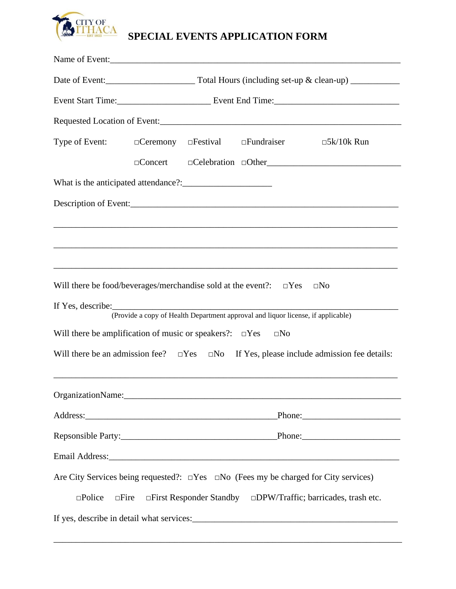

## **SPECIAL EVENTS APPLICATION FORM**

| Type of Event: $\Box$ Ceremony $\Box$ Festival $\Box$ Fundraiser                                         |  |                                |                                                                                  | $\square$ 5k/10k Run                          |  |
|----------------------------------------------------------------------------------------------------------|--|--------------------------------|----------------------------------------------------------------------------------|-----------------------------------------------|--|
|                                                                                                          |  |                                |                                                                                  | DConcert DCelebration DOther                  |  |
|                                                                                                          |  |                                |                                                                                  |                                               |  |
|                                                                                                          |  |                                |                                                                                  |                                               |  |
|                                                                                                          |  |                                |                                                                                  |                                               |  |
|                                                                                                          |  |                                |                                                                                  |                                               |  |
|                                                                                                          |  |                                |                                                                                  |                                               |  |
| Will there be food/beverages/merchandise sold at the event?: $\square$ Yes                               |  |                                |                                                                                  | $\square$ No                                  |  |
| If Yes, describe: $\sqrt{\frac{1}{2} \sum_{r=1}^{r} (r - 1)^r}$                                          |  |                                | (Provide a copy of Health Department approval and liquor license, if applicable) |                                               |  |
| Will there be amplification of music or speakers?: $\square$ Yes                                         |  |                                | $\square$ No                                                                     |                                               |  |
|                                                                                                          |  |                                |                                                                                  |                                               |  |
| Will there be an admission fee? $\square$ Yes $\square$ No If Yes, please include admission fee details: |  |                                |                                                                                  |                                               |  |
|                                                                                                          |  |                                |                                                                                  |                                               |  |
|                                                                                                          |  |                                |                                                                                  |                                               |  |
|                                                                                                          |  |                                |                                                                                  |                                               |  |
|                                                                                                          |  |                                |                                                                                  |                                               |  |
| Are City Services being requested?: $\square$ Yes $\square$ No (Fees my be charged for City services)    |  |                                |                                                                                  |                                               |  |
| $\square$ Police<br>$\square$ Fire                                                                       |  | $\Box$ First Responder Standby |                                                                                  | $\square$ DPW/Traffic; barricades, trash etc. |  |
|                                                                                                          |  |                                |                                                                                  |                                               |  |

\_\_\_\_\_\_\_\_\_\_\_\_\_\_\_\_\_\_\_\_\_\_\_\_\_\_\_\_\_\_\_\_\_\_\_\_\_\_\_\_\_\_\_\_\_\_\_\_\_\_\_\_\_\_\_\_\_\_\_\_\_\_\_\_\_\_\_\_\_\_\_\_\_\_\_\_\_\_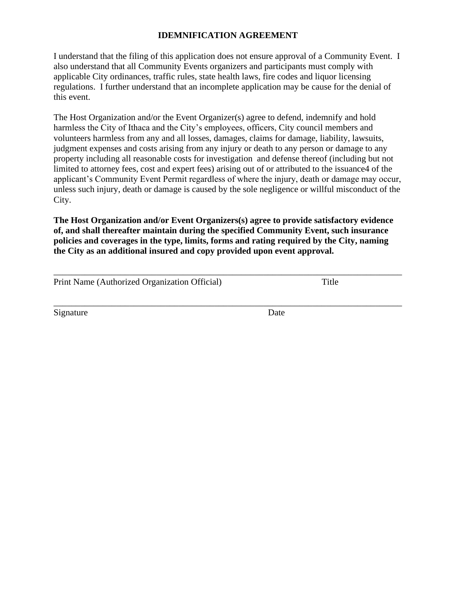## **IDEMNIFICATION AGREEMENT**

I understand that the filing of this application does not ensure approval of a Community Event. I also understand that all Community Events organizers and participants must comply with applicable City ordinances, traffic rules, state health laws, fire codes and liquor licensing regulations. I further understand that an incomplete application may be cause for the denial of this event.

The Host Organization and/or the Event Organizer(s) agree to defend, indemnify and hold harmless the City of Ithaca and the City's employees, officers, City council members and volunteers harmless from any and all losses, damages, claims for damage, liability, lawsuits, judgment expenses and costs arising from any injury or death to any person or damage to any property including all reasonable costs for investigation and defense thereof (including but not limited to attorney fees, cost and expert fees) arising out of or attributed to the issuance4 of the applicant's Community Event Permit regardless of where the injury, death or damage may occur, unless such injury, death or damage is caused by the sole negligence or willful misconduct of the City.

**The Host Organization and/or Event Organizers(s) agree to provide satisfactory evidence of, and shall thereafter maintain during the specified Community Event, such insurance policies and coverages in the type, limits, forms and rating required by the City, naming the City as an additional insured and copy provided upon event approval.**

| Print Name (Authorized Organization Official) | Title |  |
|-----------------------------------------------|-------|--|
|                                               |       |  |
|                                               |       |  |

Signature Date